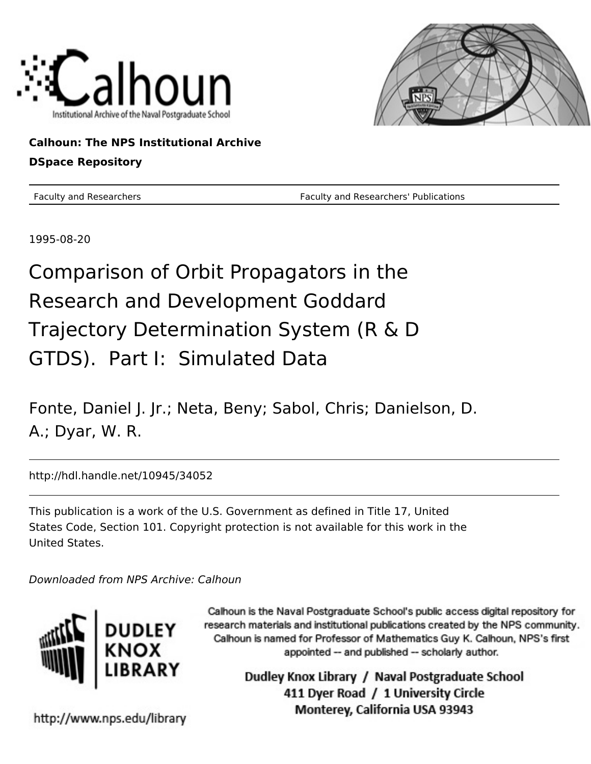



**Calhoun: The NPS Institutional Archive DSpace Repository**

Faculty and Researchers **Faculty and Researchers' Publications** 

1995-08-20

Comparison of Orbit Propagators in the Research and Development Goddard Trajectory Determination System (R & D GTDS). Part I: Simulated Data

Fonte, Daniel J. Jr.; Neta, Beny; Sabol, Chris; Danielson, D. A.; Dyar, W. R.

http://hdl.handle.net/10945/34052

This publication is a work of the U.S. Government as defined in Title 17, United States Code, Section 101. Copyright protection is not available for this work in the United States.

Downloaded from NPS Archive: Calhoun



Calhoun is the Naval Postgraduate School's public access digital repository for research materials and institutional publications created by the NPS community. Calhoun is named for Professor of Mathematics Guy K. Calhoun, NPS's first appointed -- and published -- scholarly author.

> Dudley Knox Library / Naval Postgraduate School 411 Dyer Road / 1 University Circle Monterey, California USA 93943

http://www.nps.edu/library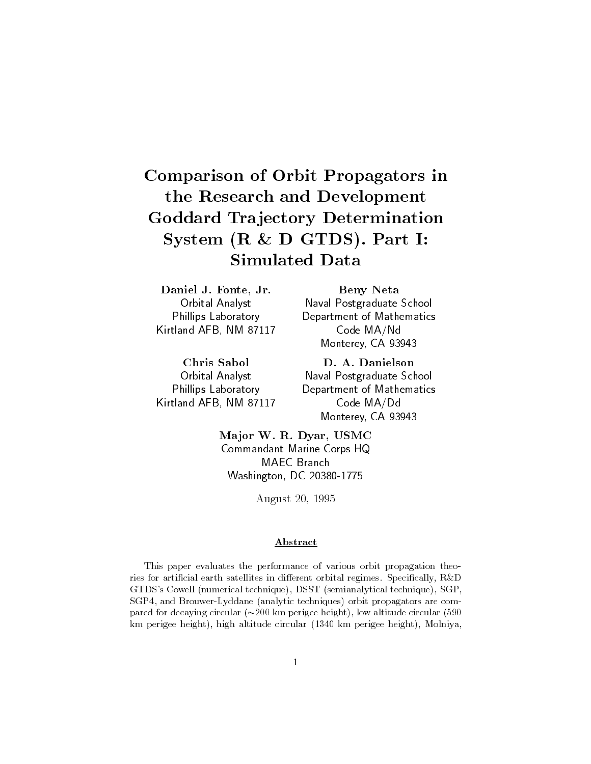# Comparison of Orbit Propagators inthe Research and DevelopmentGoddard Tra jectory DeterminationSystem R D GTDS- Part ISimulated Data

Daniel J. Fonte, Jr. Orbital Analyst Phillips Laboratory  $\mathcal{L}$ 

Chris Sabol Orbital Analyst Phillips Laboratory Kirtland AFB NM --

Beny Neta Naval Postgraduate School Department of Mathematics Code MA/Nd Monterey, CA 93943

D. A. Danielson Naval Postgraduate School Department of Mathematics Code MA/Dd Monterey, CA 93943

Major W. R. Dyar, USMC Commandant Marine Corps HQ MAEC Branch Washington DC --

August -

## Abstract

This paper evaluates the performance of various orbit propagation theo ries for articial earth satellites in di-erent orbital regimes Specically RD GTDS's Cowell (numerical technique), DSST (semianalytical technique), SGP, SGP4, and Brouwer-Lyddane (analytic techniques) orbit propagators are compared for decaying circular km perigee height low altitude circular  km perigee height), high altitude circular (1340 km perigee height), Molniya,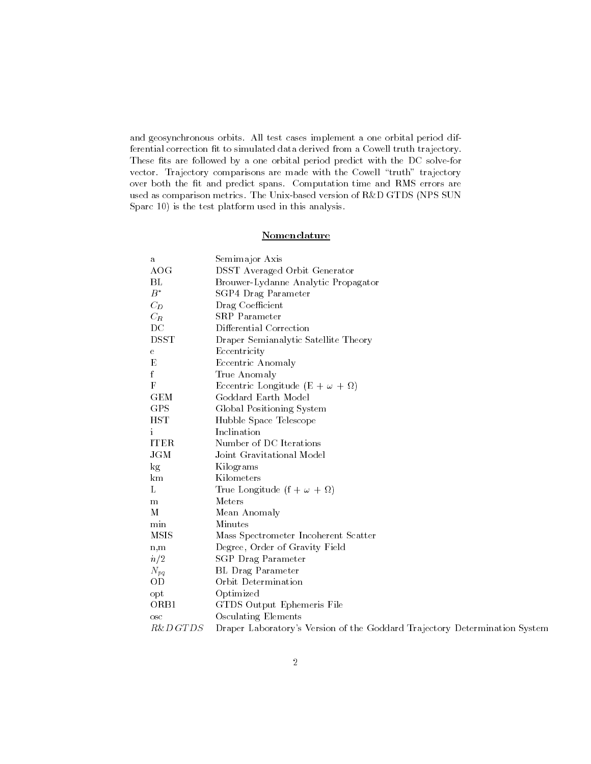and geosynchronous orbits. All test cases implement a one orbital period differential correction fit to simulated data derived from a Cowell truth trajectory. These fits are followed by a one orbital period predict with the DC solve-for vector. Trajectory comparisons are made with the Cowell "truth" trajectory over both the fit and predict spans. Computation time and RMS errors are used as comparison metrics. The Unix-based version of R&D GTDS (NPS SUN Sparc  $10$ ) is the test platform used in this analysis.

# Nomenclature

| a              | Semimajor Axis                                                             |
|----------------|----------------------------------------------------------------------------|
| AOG            | <b>DSST</b> Averaged Orbit Generator                                       |
| BL             | Brouwer-Lydanne Analytic Propagator                                        |
| $B^*$          | SGP4 Drag Parameter                                                        |
| $C_D$          | Drag Coefficient                                                           |
| $C_R$          | <b>SRP</b> Parameter                                                       |
| $_{\rm DC}$    | Differential Correction                                                    |
| <b>DSST</b>    | Draper Semianalytic Satellite Theory                                       |
| е              | Eccentricity                                                               |
| E              | Eccentric Anomaly                                                          |
| f              | True Anomaly                                                               |
| F              | Eccentric Longitude (E + $\omega$ + $\Omega$ )                             |
| <b>GEM</b>     | Goddard Earth Model                                                        |
| GPS            | Global Positioning System                                                  |
| <b>HST</b>     | Hubble Space Telescope                                                     |
| $\mathbf{1}$   | Inclination                                                                |
| <b>ITER</b>    | Number of DC Iterations                                                    |
| JGM            | Joint Gravitational Model                                                  |
| $\log$         | Kilograms                                                                  |
| km             | Kilometers                                                                 |
| L              | True Longitude $(f + \omega + \Omega)$                                     |
| m              | Meters                                                                     |
| M              | Mean Anomaly                                                               |
| min            | Minutes                                                                    |
| <b>MSIS</b>    | Mass Spectrometer Incoherent Scatter                                       |
| n, m           | Degree, Order of Gravity Field                                             |
| n/2            | SGP Drag Parameter                                                         |
| $N_{pq}$       | BL Drag Parameter                                                          |
| 0 <sub>D</sub> | Orbit Determination                                                        |
| opt            | Optimized                                                                  |
| ORB1           | GTDS Output Ephemeris File                                                 |
| $_{\rm osc}$   | <b>Osculating Elements</b>                                                 |
| R&D GT DS      | Draper Laboratory's Version of the Goddard Trajectory Determination System |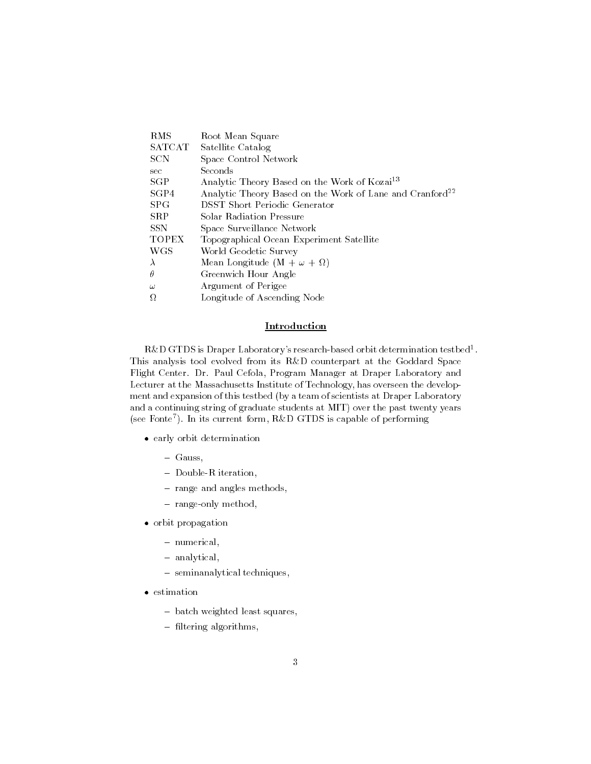| Root Mean Square                                                     |
|----------------------------------------------------------------------|
| Satellite Catalog                                                    |
| Space Control Network                                                |
| Seconds                                                              |
| Analytic Theory Based on the Work of Kozai <sup>13</sup>             |
| Analytic Theory Based on the Work of Lane and Cranford <sup>22</sup> |
| <b>DSST</b> Short Periodic Generator                                 |
| Solar Radiation Pressure                                             |
| Space Surveillance Network                                           |
| Topographical Ocean Experiment Satellite                             |
| World Geodetic Survey                                                |
| Mean Longitude $(M + \omega + \Omega)$                               |
| Greenwich Hour Angle                                                 |
| Argument of Perigee                                                  |
| Longitude of Ascending Node                                          |
|                                                                      |

## Introduction

 ${\rm K}\alpha$ D GTDS is Draper Laboratory's research-based orbit determination testbed  $\,$  . This analysis tool evolved from its R&D counterpart at the Goddard Space Flight Center. Dr. Paul Cefola, Program Manager at Draper Laboratory and Lecturer at the Massachusetts Institute of Technology has overseen the develop ment and expansion of this testbed (by a team of scientists at Draper Laboratory and a continuing string of graduate students at MIT) over the past twenty years see Fonte In its current form RD GTDS is capable of performing

- early orbit determination
	- $-$  Gauss,
	- $-$  Double-R iteration,
	- range and angles methods,
	- range-only method,
- orbit propagation
	- numerical,
	- analytical,
	- seminanalytical techniques,
- $\bullet$  estimation
	- batch weighted least squares,
	- $-$  filtering algorithms,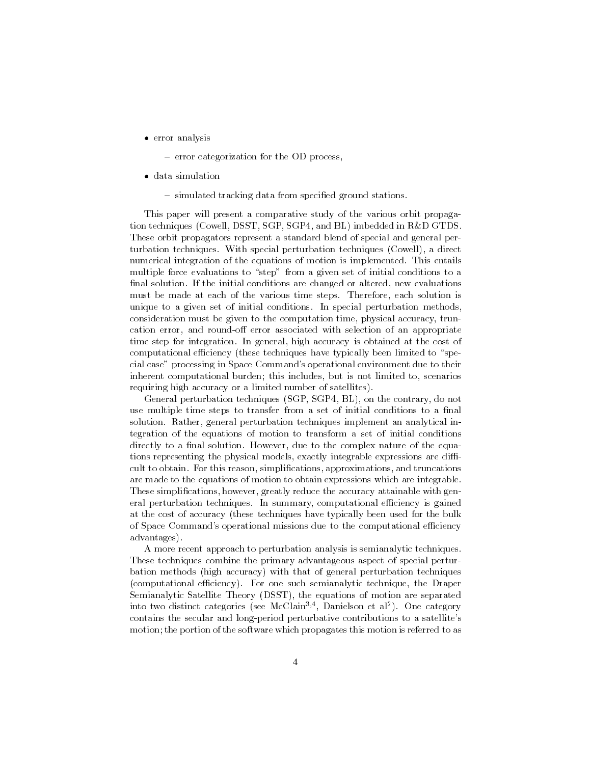- error analysis
	- error categorization for the OD process,
- data simulation
	- simulated tracking data from specified ground stations.

This paper will present a comparative study of the various orbit propaga tion techniques (Cowell, DSST, SGP, SGP4, and BL) imbedded in  $R\&D$  GTDS. These orbit propagators represent a standard blend of special and general per turbation techniques. With special perturbation techniques (Cowell), a direct numerical integration of the equations of motion is implemented. This entails multiple force evaluations to "step" from a given set of initial conditions to a final solution. If the initial conditions are changed or altered, new evaluations must be made at each of the various time steps. Therefore, each solution is unique to a given set of initial conditions In special perturbation methods consideration must be given to the computation time physical accuracy trun cation triaty with items the triat with selection of all the selection of an appropriate the time step for integration. In general, high accuracy is obtained at the cost of computational efficiency (these techniques have typically been limited to "special case" processing in Space Command's operational environment due to their inherent computational burden; this includes, but is not limited to, scenarios requiring high accuracy or a limited number of satellites).

General perturbation techniques (SGP, SGP4, BL), on the contrary, do not use multiple time steps to transfer from a set of initial conditions to a final solution. Rather, general perturbation techniques implement an analytical integration of the equations of motion to transform a set of initial conditions directly to a final solution. However, due to the complex nature of the equations representing the physical models, exactly integrable expressions are difficult to obtain. For this reason, simplifications, approximations, and truncations are made to the equations of motion to obtain expressions which are integrable These simplifications, however, greatly reduce the accuracy attainable with general perturbation techniques. In summary, computational efficiency is gained at the cost of accuracy these techniques have typically been used for the bulk of Space Command's operational missions due to the computational efficiency advantages

A more recent approach to perturbation analysis is semianalytic techniques These techniques combine the primary advantageous aspect of special pertur bation methods (high accuracy) with that of general perturbation techniques (computational efficiency). For one such semianalytic technique, the Draper Semianalytic Satellite Theory (DSST), the equations of motion are separated into two distinct categories (see McClain<sup>-1)</sup>, Dameison et al-). One category contains the secular and long-period perturbative contributions to a satellite's motion; the portion of the software which propagates this motion is referred to as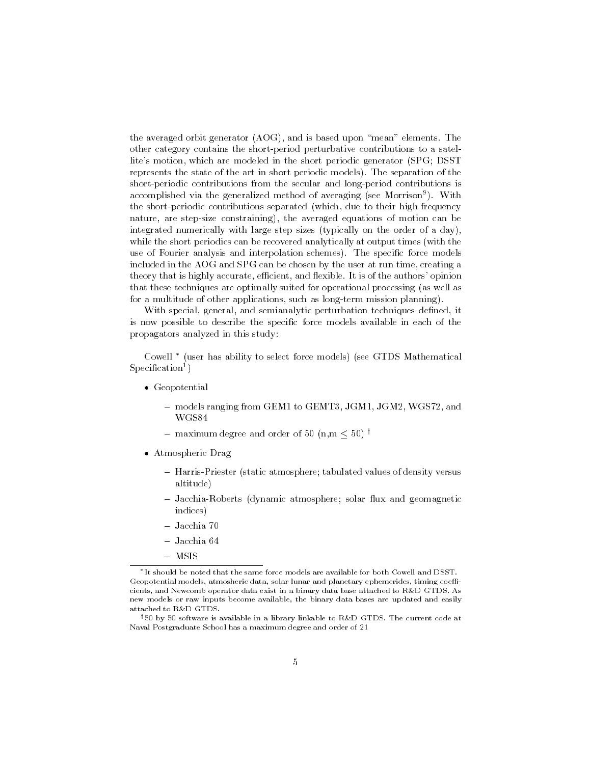the averaged orbit generator  $(AOG)$ , and is based upon "mean" elements. The other category contains the short-period perturbative contributions to a satellite's motion, which are modeled in the short periodic generator (SPG; DSST) represents the state of the art in short periodic models). The separation of the short-periodic contributions from the secular and long-period contributions is accomplished via the generalized method of averaging (see Morrison ). With the short-periodic contributions separated (which, due to their high frequency nature, are step-size constraining), the averaged equations of motion can be integrated numerically with large step sizes (typically on the order of a day), while the short periodics can be recovered analytically at output times (with the use of Fourier analysis and interpolation schemes). The specific force models included in the AOG and SPG can be chosen by the user at run time, creating a theory that is highly accurate, efficient, and flexible. It is of the authors' opinion that these techniques are optimally suited for operational processing (as well as for a multitude of other applications, such as long-term mission planning).

With special, general, and semianalytic perturbation techniques defined, it is now possible to describe the specific force models available in each of the propagators analyzed in this study

Cowell — tuser has ability to select force models) (see GTDS Mathematical pecification") ==

- Geopotential
	- models ranging from GEM to GEMT JGM JGM WGS and WGS84
	- $-$  maximum degree and order of 50 (n,m  $\leq$  50)  $^+$
- Atmospheric Drag
	- Harris-Priester (static atmosphere; tabulated values of density versus altitude
	- Jacchia-Roberts (dynamic atmosphere; solar flux and geomagnetic indices
	- Jacchia 70
	- Jacchia 64
	- MSIS

It should be noted that the same force models are available for both Cowell and DSST. Geopotential models atmosheric data solar lunar and planetary ephemerides timing coe cients, and Newcomb operator data exist in a binary data base attached to R&D GTDS. As new models or raw inputs become available, the binary data bases are updated and easily attached to R&D GTDS.

<sup>&</sup>lt;sup>†</sup>50 by 50 software is available in a library linkable to R&D GTDS. The current code at Naval Postgraduate School has a maximum degree and order of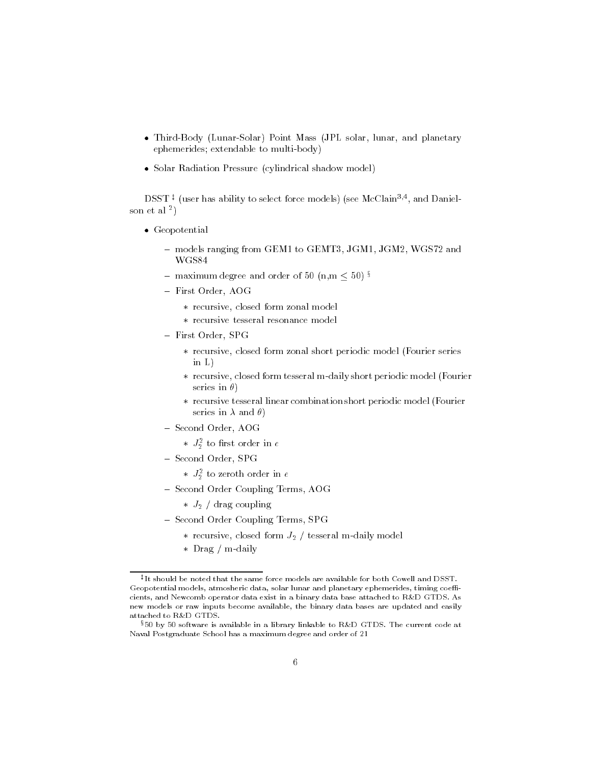- Third-Body (Lunar-Solar) Point Mass (JPL solar, lunar, and planetary ephemerides; extendable to multi-body)
- Solar Radiation Pressure (cylindrical shadow model)

DSST + (user has ability to select force models) (see McClain++, and Danielson et al -

- Geopotential
	- models ranging from GEM to GEMT JGM JGM WGS and WGS84
	- $-$  maximum degree and order of 50  $\,\mathrm{m,m} \leq 50$  )  $^{\circ}$
	- First Order, AOG
		- \* recursive, closed form zonal model
		- recursive tesseral resonance model
	- First Order, SPG
		- \* recursive, closed form zonal short periodic model (Fourier series in L
		- \* recursive, closed form tesseral m-daily short periodic model (Fourier series in  $\theta$ )
		- recursive tesseral linear combination short periodic model Fourier series in - and
	- Second Order, AOG
		- $\ast$   $J_2$  to first order in e
	- Second Order, SPG
		- $\ast$   $J_{2}$  to zeroth order in  $e$
	- Second Order Coupling Terms, AOG
		- $\sim$  and coupling
	- Second Order Coupling Terms, SPG
		- recursive close contract of  $\mu$  , there are no model model
		- $\ast$  Drag / m-daily

It should be noted that the same force models are available for both Cowell and DSST. Geopotential models atmosheric data solar lunar and planetary ephemerides timing coe cients, and Newcomb operator data exist in a binary data base attached to R&D GTDS. As new models or raw inputs become available, the binary data bases are updated and easily attached to R&D GTDS.

 $$50$  by  $50$  software is available in a library linkable to R&D GTDS. The current code at Naval Postgraduate School has a maximum degree and order of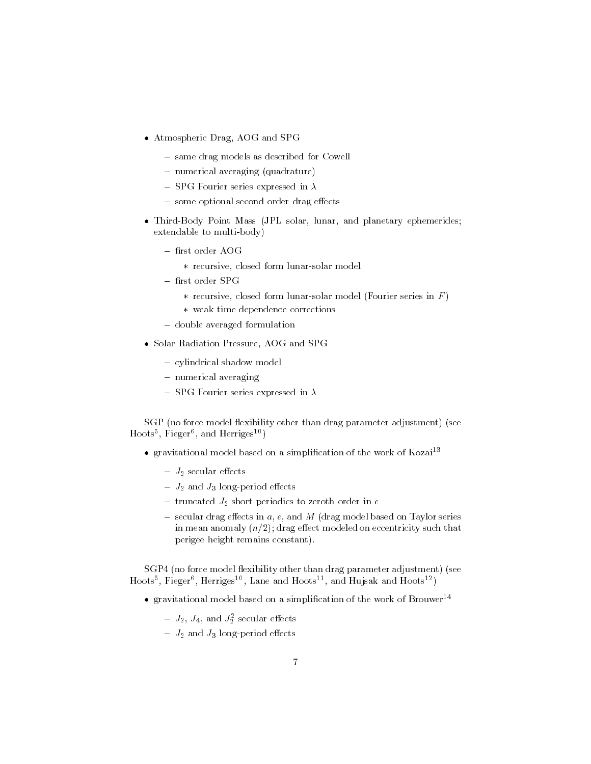- Atmospheric Drag, AOG and SPG
	- same drag models as described for Cowell
	- $-$  numerical averaging (quadrature)
	- SPG Fourier series expressed in  $\lambda$
	- some op it second second order and  $\eta$  it can be
- Third-Body Point Mass (JPL solar, lunar, and planetary ephemerides;  $extendable to multi-body)$ 
	- first order AOG
		- \* recursive, closed form lunar-solar model
	- $-$  first order SPG
		- \* recursive, closed form lunar-solar model (Fourier series in  $F$ )
		- weak time dependence corrections
	- double averaged formulation
- Solar Radiation Pressure, AOG and SPG
	- cylindrical shadow model
	- numerical averaging
	- SPG Fourier series expressed in  $\lambda$

SGP (no force model flexibility other than drag parameter adjustment) (see Hoots Fieger and Herriges

- $\bullet$  gravitational model based on a simplification of the work of Kozai<sup>13</sup>
	- securities experience and securities of the second securities of the second securities of the second second second second second second second second second second second second second second second second second second
	- J- and J longperiod e-ects
	- truncated J- short periodics to zeroth order in <sup>e</sup>
	- secular drag e-mand a e and M drag model based on Taylor series and M drag model based on Taylor series and M . In the modeled on equal that  $\alpha$  is the contribution on econtricity such that  $\alpha$ perigee height remains constant

SGP4 (no force model flexibility other than drag parameter adjustment) (see Hoots", Fieger", Herriges ", Lane and Hoots ", and Hujsak and Hoots " )

- $\bullet$  gravitational model based on a simplification of the work of Brouwer<sup>14</sup>
	- $J_2$ ,  $J_4$ , and  $J_2$  secular effects
	- J- and J longperiod e-ects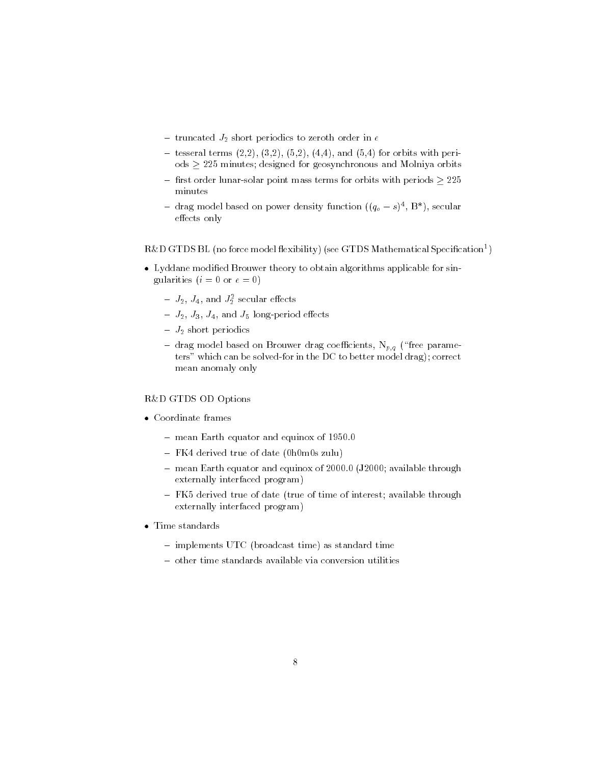- truncated J- short periodics to zeroth order in <sup>e</sup>
- tesseral terms is the finite form of the finite state or the second period of the second state of the second s ods  minutes designed for geosynchronous and Molniya orbits
- rst order lunarsolar point mass terms for orbits with periods  minutes
- $-$  drag model based on power density function  $((q_o s)^{-}, B^{\circ})$ , secular e-ects only

#### $R\&D$  GTDS BL (no force model hexibility) (see GTDS Mathematical Specification )  $\hskip 10mm$

- Lyddane modified Brouwer theory to obtain algorithms applicable for singularities  $(i = 0 \text{ or } e = 0)$ 
	- $J_2$ ,  $J_4$ , and  $J_2$  securar enects
	- e 2 i 9 and 1 longer og e-en period e-en e-en e-en andere en andere en andere en andere en andere en andere en
	- J- short periodics
	- drag model based on Brouwer drag coefficients,  $N_{p,q}$  ("free parameters" which can be solved-for in the DC to better model drag); correct mean anomaly only

# R&D GTDS OD Options

- Coordinate frames
	- mean Earth equator and equinox of 1950.0
	- $-$  FK4 derived true of date (0h0m0s zulu)
	- means control to positive through the control of the property of the control of the control of the control of the control of the control of the control of the control of the control of the control of the control of the con externally interfaced program
	- $-$  FK5 derived true of date (true of time of interest; available through externally interfaced program
- Time standards
	- $\sim$  implements UTC (broadcast time) as standard time
	- other time standards available via conversion utilities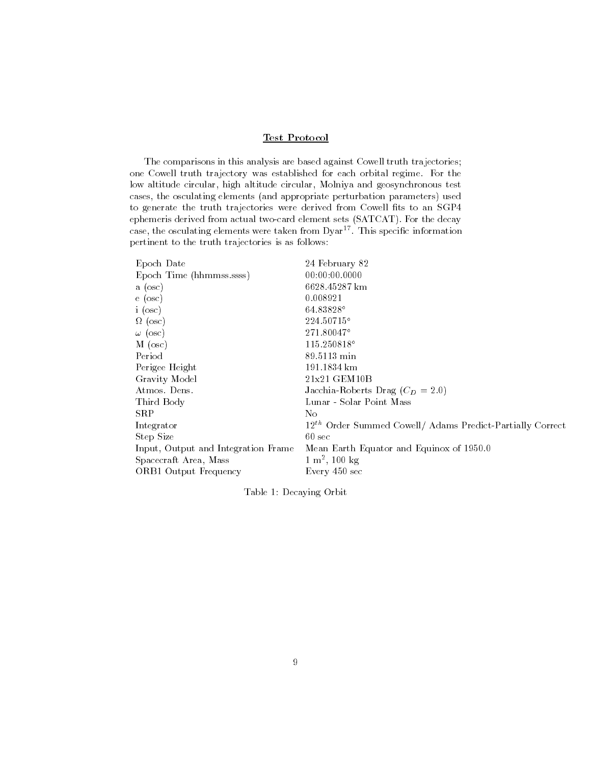# Test Protocol

The comparisons in this analysis are based against Cowell truth trajectories one Cowell truth trajectory was established for each orbital regime. For the low altitude circular, high altitude circular, Molniya and geosynchronous test cases, the osculating elements (and appropriate perturbation parameters) used to generate the truth trajectories were derived from Cowell fits to an SGP4 ephemeris derived from actual two-card element sets (SATCAT). For the decay case, the osculating elements were taken from  $D\gamma a r^{17}$ . This specific information pertinent to the truth trajectories is as follows

| 24 February 82                                                        |
|-----------------------------------------------------------------------|
| 00:00:00.0000                                                         |
| 6628.45287 km                                                         |
| 0.008921                                                              |
| 64.83828°                                                             |
| 224.50715°                                                            |
| 271.80047°                                                            |
| $115.250818^{\circ}$                                                  |
| 89.5113 min                                                           |
| 191.1834 km                                                           |
| 21x21 GEM10B                                                          |
| Jacchia-Roberts Drag $(C_D = 2.0)$                                    |
| Lunar - Solar Point Mass                                              |
| No                                                                    |
| 12 <sup>th</sup> Order Summed Cowell/ Adams Predict-Partially Correct |
| $60 \text{ sec}$                                                      |
| Mean Earth Equator and Equinox of 1950.0                              |
| $1 \text{ m}^2$ , 100 kg                                              |
| Every 450 sec                                                         |
|                                                                       |

Table Decaying Orbit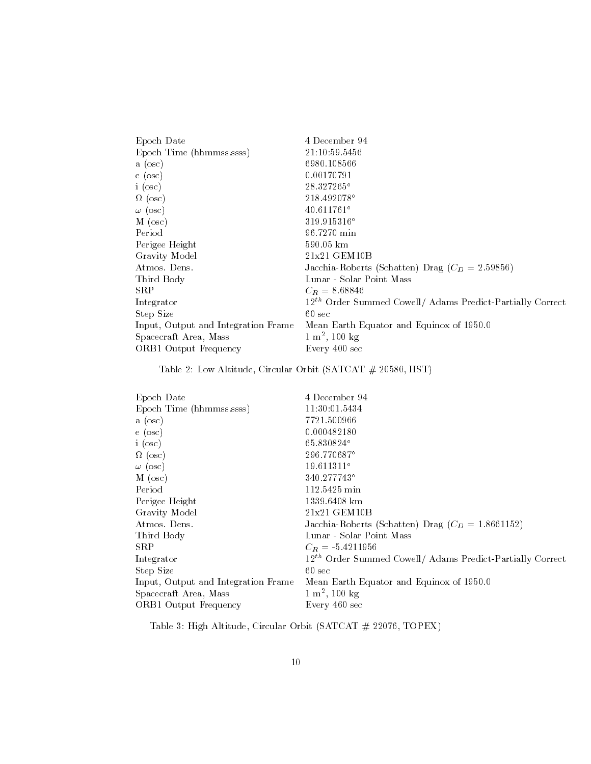| Epoch Date                          | 4 December 94                                                  |
|-------------------------------------|----------------------------------------------------------------|
| Epoch Time (hhmmss.ssss)            | 21:10:59.5456                                                  |
| a (osc)                             | 6980.108566                                                    |
| $\epsilon$ (osc)                    | 0.00170791                                                     |
| i (osc)                             | 28.327265°                                                     |
| $\Omega$ (osc)                      | 218.492078°                                                    |
| $\omega$ (osc)                      | 40.611761°                                                     |
| $M$ (osc)                           | 319.915316°                                                    |
| Period                              | 96.7270 min                                                    |
| Perigee Height                      | $590.05 \; \mathrm{km}$                                        |
| Gravity Model                       | 21x21 GEM10B                                                   |
| Atmos Dens.                         | Jacchia-Roberts (Schatten) Drag ( $C_D = 2.59856$ )            |
| Third Body                          | Lunar - Solar Point Mass                                       |
| ${\rm SRP}$                         | $C_R = 8.68846$                                                |
| Integrator                          | $12^{th}$ Order Summed Cowell/ Adams Predict-Partially Correct |
| Step Size                           | $60 \text{ sec}$                                               |
| Input, Output and Integration Frame | Mean Earth Equator and Equinox of 1950.0                       |
| Spacecraft Area, Mass               | $1 \text{ m}^2$ , 100 kg                                       |
| ORB1 Output Frequency               | Every 400 sec                                                  |

Table Low Altitude Circular Orbit SATCAT  HST

| Epoch Date                          | 4 December 94                                                         |
|-------------------------------------|-----------------------------------------------------------------------|
| Epoch Time (hhmmss.ssss)            | 11:30:01.5434                                                         |
| a (osc)                             | 7721.500966                                                           |
| e (osc)                             | 0.000482180                                                           |
| i (osc)                             | 65.830824°                                                            |
| $\Omega$ (osc)                      | 296.770687°                                                           |
| $\omega$ (osc)                      | $19.611311^{\circ}$                                                   |
| $M$ (osc)                           | 340.277743°                                                           |
| Period                              | 112.5425 min                                                          |
| Perigee Height                      | 1339.6408 km                                                          |
| Gravity Model                       | 21x21 GEM10B                                                          |
| Atmos. Dens.                        | Jacchia-Roberts (Schatten) Drag ( $C_D = 1.8661152$ )                 |
| Third Body                          | Lunar - Solar Point Mass                                              |
| SR P                                | $C_R = -5.4211956$                                                    |
| Integrator                          | 12 <sup>th</sup> Order Summed Cowell/ Adams Predict-Partially Correct |
| Step Size                           | $60 \text{ sec}$                                                      |
| Input, Output and Integration Frame | Mean Earth Equator and Equinox of 1950.0                              |
| Spacecraft Area, Mass               | $1 \text{ m}^2$ , 100 kg                                              |
| <b>ORB1 Output Frequency</b>        | Every 460 sec                                                         |

Table is the contract of the contract of the circuit  $\mu$  is the circular orbit  $\mu$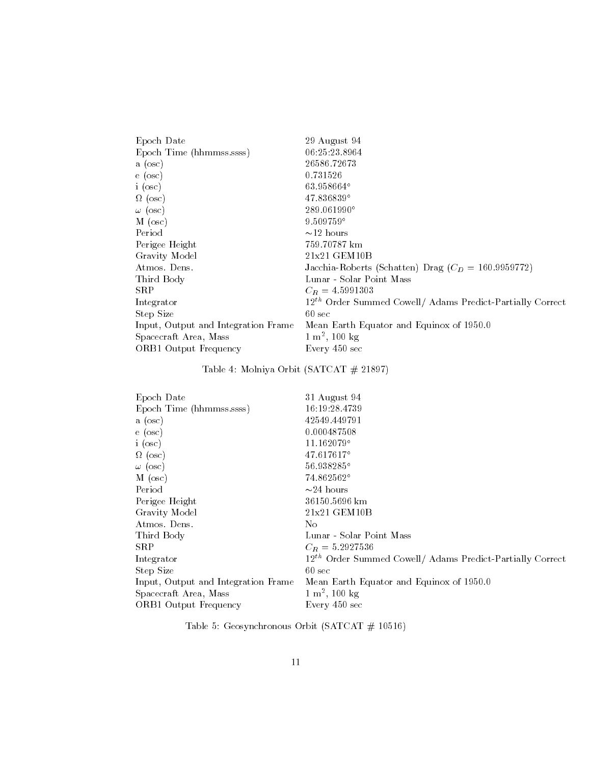| Epoch Date                          | 29 August 94                                                          |
|-------------------------------------|-----------------------------------------------------------------------|
| Epoch Time (hhmmss.ssss)            | 06:25:23.8964                                                         |
| a (osc)                             | 26586.72673                                                           |
| e (osc)                             | 0.731526                                                              |
| i (osc)                             | 63.958664°                                                            |
| $\Omega$ (osc)                      | $47.836839^{\circ}$                                                   |
| $\omega$ (osc)                      | 289.061990°                                                           |
| $M$ (osc)                           | $9.509759$ °                                                          |
| Period                              | $\sim$ 12 hours                                                       |
| Perigee Height                      | 759.70787 km                                                          |
| Gravity Model                       | 21x21 GEM10B                                                          |
| Atmos Dens.                         | Jacchia-Roberts (Schatten) Drag ( $C_D = 160.9959772$ )               |
| Third Body                          | Lunar - Solar Point Mass                                              |
| $_{\rm SRP}$                        | $C_R = 4.5991303$                                                     |
| Integrator                          | 12 <sup>th</sup> Order Summed Cowell/ Adams Predict-Partially Correct |
| Step Size                           | $60 \text{ sec}$                                                      |
| Input, Output and Integration Frame | Mean Earth Equator and Equinox of 1950.0                              |
| Spacecraft Area, Mass               | $1 \text{ m}^2$ , 100 kg                                              |
| ORB1 Output Frequency               | Every 450 sec                                                         |
|                                     |                                                                       |

#### Table **.** Molnie Saturated States of the Molnie Saturated and the Molnie States of the Molnie States of the Molnie S

| 31 August 94                                                |
|-------------------------------------------------------------|
| 16:19:28.4739                                               |
| 42549.449791                                                |
| 0.000487508                                                 |
| $11.162079$ °                                               |
| $47.617617$ °                                               |
| 56.938285°                                                  |
| 74.862562°                                                  |
| $\sim$ 24 hours                                             |
| 36150.5696 km                                               |
| 21x21 GEM10B                                                |
| No.                                                         |
| Lunar - Solar Point Mass                                    |
| $C_R = 5.2927536$                                           |
| $12th$ Order Summed Cowell/ Adams Predict-Partially Correct |
| $60 \text{ sec}$                                            |
| Mean Earth Equator and Equinox of 1950.0                    |
| $1 \text{ m}^2$ , 100 kg                                    |
| Every 450 sec                                               |
|                                                             |

Table 5: Geosynchronous Orbit (SATCAT  $\#$  10516)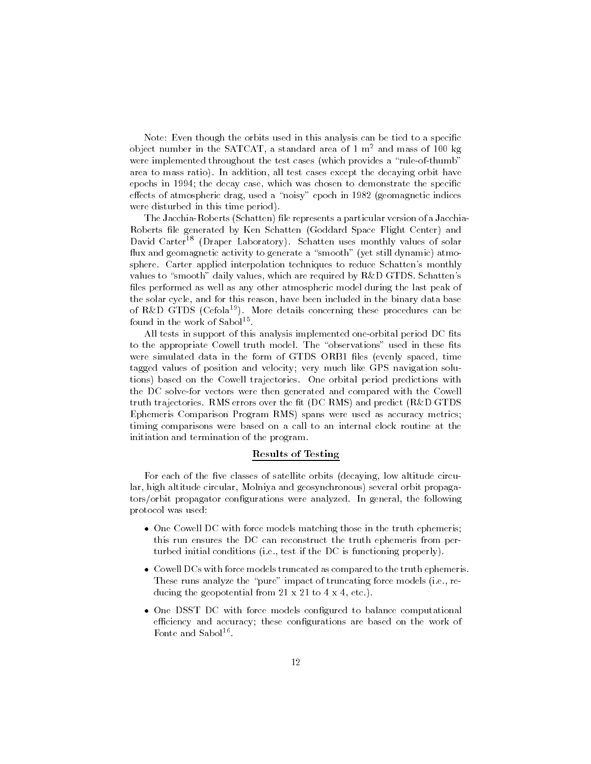Note: Even though the orbits used in this analysis can be tied to a specific object number in the  $\texttt{SALCAI}$ , a standard area of 1 m- and mass of 100 kg  $$ were implemented throughout the test cases (which provides a "rule-of-thumb" area to mass ratio). In addition, all test cases except the decaying orbit have epochs in  $1994$ ; the decay case, which was chosen to demonstrate the specific e-ects of atmospheric drag used a noisy epoch in geomagnetic indices were disturbed in this time period).

The Jacchia-Roberts (Schatten) file represents a particular version of a Jacchia-Roberts file generated by Ken Schatten (Goddard Space Flight Center) and David Carter<sup>18</sup> (Draper Laboratory). Schatten uses monthly values of solar flux and geomagnetic activity to generate a "smooth" (yet still dynamic) atmosphere. Carter applied interpolation techniques to reduce Schatten's monthly values to "smooth" daily values, which are required by R&D GTDS. Schatten's files performed as well as any other atmospheric model during the last peak of the solar cycle, and for this reason, have been included in the binary data base of R&D GTDS (Cefola<sup>19</sup>). More details concerning these procedures can be found in the work of Sabol<sup>15</sup>.

All tests in support of this analysis implemented one-orbital period DC fits to the appropriate Cowell truth model. The "observations" used in these fits were simulated data in the form of GTDS ORB1 files (evenly spaced, time tagged values of position and velocity; very much like GPS navigation solutions) based on the Cowell trajectories. One orbital period predictions with the DC solve-for vectors were then generated and compared with the Cowell truth trajectories. RMS errors over the fit (DC RMS) and predict (R&D GTDS Ephemeris Comparison Program RMS) spans were used as accuracy metrics; timing comparisons were based on a call to an internal clock routine at the initiation and termination of the program

### Results of Testing

For each of the five classes of satellite orbits (decaying, low altitude circular, high altitude circular, Molniya and geosynchronous) several orbit propagators/orbit propagator configurations were analyzed. In general, the following protocol was used

- One Cowell DC with force models matching those in the truth ephemeris; this run ensures the DC can reconstruct the truth ephemeris from per turbed initial conditions (i.e., test if the DC is functioning properly).
- Cowell DCs with force models truncated as compared to the truth ephemeris These runs analyze the "pure" impact of truncating force models (i.e., re- $\mathcal{A}$  to  $\mathcal{A}$  to  $\mathcal{A}$  and  $\mathcal{A}$  are to  $\mathcal{A}$  . To  $\mathcal{A}$  and  $\mathcal{A}$  are to  $\mathcal{A}$  and  $\mathcal{A}$  are to  $\mathcal{A}$  and  $\mathcal{A}$  are to  $\mathcal{A}$  and  $\mathcal{A}$  are to  $\mathcal{A}$  and  $\mathcal{A}$  are to  $\mathcal{A}$
- One DSST DC with force models configured to balance computational efficiency and accuracy; these configurations are based on the work of Fonte and Sabol<sup>16</sup>.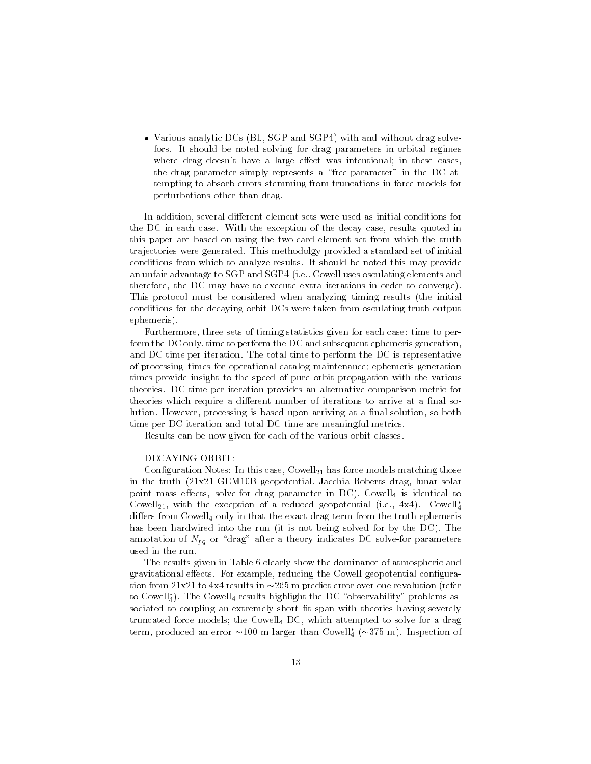• Various analytic DCs (BL, SGP and SGP4) with and without drag solvefors. It should be noted solving for drag parameters in orbital regimes where drag doesnt have a large extern was intentional in these cases,  $\sim$ the drag parameter simply represents a "free-parameter" in the DC attempting to absorb errors stemming from truncations in force models for perturbations other than drag

In addition several di-erent element sets were used as initial conditions for the DC in each case. With the exception of the decay case, results quoted in this paper are based on using the twocard element set from which the truth trajectories were generated. This methodolgy provided a standard set of initial conditions from which to analyze results. It should be noted this may provide an unfair advantage to SGP and SGP4 (i.e., Cowell uses osculating elements and therefore, the DC may have to execute extra iterations in order to converge). This protocol must be considered when analyzing timing results (the initial conditions for the decaying orbit DCs were taken from osculating truth output ephemeris

Furthermore, three sets of timing statistics given for each case: time to perform the DC only, time to perform the DC and subsequent ephemeris generation, and DC time per iteration. The total time to perform the DC is representative of processing times for operational catalog maintenance ephemeris generation times provide insight to the speed of pure orbit propagation with the various theories DC time per iteration provides an alternative comparison metric for theories which require a dimension manual of iterations to arrive at a number of  $\sim$ lution. However, processing is based upon arriving at a final solution, so both time per DC iteration and total DC time are meaningful metrics

Results can be now given for each of the various orbit classes

#### DECAYING ORBIT:

Conguration Notes In this case Cowell- has force models matching those in the truth geopotential geopotential solaristic solaristic method solid solaris point in an extended parameter in DC Cowell is identical to identical to the company of the company of the company Cowell<sub>21</sub>, with the exception of a reduced geopotential  $(1,e, 4X4)$ . Cowell<sub>4</sub> di-that from Cowell only in that the exact drag term from the truth ephemeric has been hardwired into the run (it is not being solved for by the DC). The annotation of  $N_{pq}$  or "drag" after a theory indicates DC solve-for parameters used in the run

The results given in Table 6 clearly show the dominance of atmospheric and  $\mathbf{f}$  e-conguravitational e-model geopotential conguravitation  $\mathbf{f}$  e-model geopotential conguravitation  $\mathbf{f}$ tion from x to x results in  m predict error over one revolution refer to Cowell<sub>4</sub>). The Cowell<sub>4</sub> results highlight the DC observability problems associated to coupling an extremely short fit span with theories having severely truncated force models; the Cowell<sub>4</sub> DC, which attempted to solve for a drag  $t$ erm, produced an error  $\approx$ 100 m larger than Cowen<sub>4</sub> ( $\approx$ 15 m). Inspection of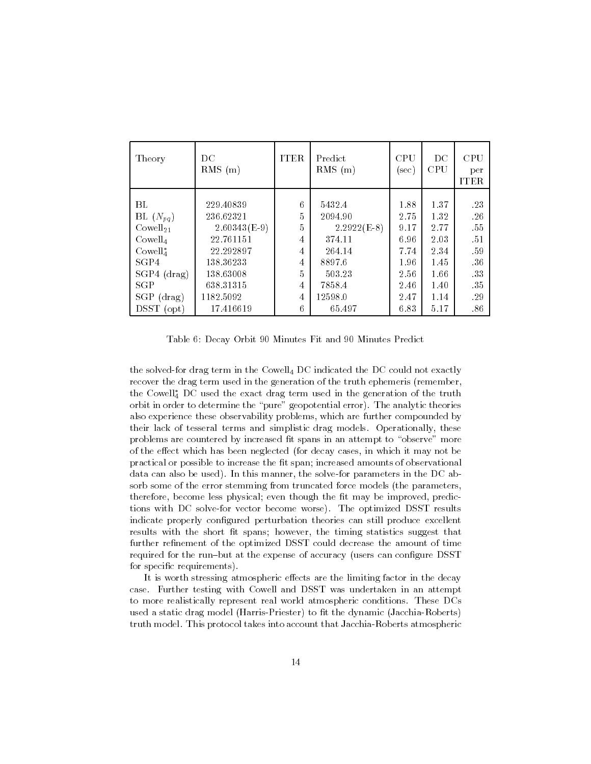| Theory              | $_{\rm DC}$<br>$RMS$ (m) | <b>ITER</b> | Predict<br>$RMS$ (m) | <b>CPU</b><br>(sec) | DC<br><b>CPU</b> | <b>CPU</b><br>per<br><b>ITER</b> |
|---------------------|--------------------------|-------------|----------------------|---------------------|------------------|----------------------------------|
|                     |                          |             |                      |                     |                  |                                  |
| BL.                 | 229.40839                | 6           | 5432.4               | 1.88                | 1.37             | -23                              |
| BL $(N_{pq})$       | 236.62321                | 5           | 2094.90              | 2.75                | 1.32             | .26                              |
| $Cowell_{21}$       | $2.60343(E-9)$           | 5           | $2.2922(E-8)$        | 9.17                | 2.77             | .55                              |
| Cowell <sub>4</sub> | 22.761151                | 4           | 374.11               | 6.96                | 2.03             | .51                              |
| $Cowell4*$          | 22.292897                | 4           | 264.14               | 7.74                | 2.34             | .59                              |
| SGP4                | 138.36233                | 4           | 8897.6               | 1.96                | 1.45             | -36                              |
| $SGP4$ (drag)       | 138.63008                | 5           | 503.23               | 2.56                | 1.66             | 33                               |
| SGP                 | 638.31315                | 4           | 7858.4               | 2.46                | 1.40             | -35                              |
| $SGP$ (drag)        | 1182.5092                | 4           | 12598.0              | 2.47                | 1.14             | .29                              |
| $D SST$ (opt)       | 17.416619                | 6           | 65.497               | 6.83                | 5.17             | .86                              |

Table 6: Decay Orbit 90 Minutes Fit and 90 Minutes Predict

the solved-for drag term in the Cowell $_4$  DC indicated the DC could not exactly recover the drag term used in the generation of the truth ephemeris (remember, the Cowell<sub>4</sub> DC used the exact drag term used in the generation of the truth orbit in order to determine the "pure" geopotential error). The analytic theories also experience these observability problems, which are further compounded by their lack of tesseral terms and simplistic drag models Operationally these problems are countered by increased fit spans in an attempt to "observe" more of the e-ect which has been neglected for decay cases in which it may not be practical or possible to increase the fit span; increased amounts of observational data can also be used). In this manner, the solve-for parameters in the DC absorb some of the error stemming from truncated force models (the parameters, therefore, become less physical; even though the fit may be improved, predictions with DC solve-for vector become worse). The optimized DSST results indicate properly configured perturbation theories can still produce excellent results with the short fit spans; however, the timing statistics suggest that further refinement of the optimized DSST could decrease the amount of time required for the run-but at the expense of accuracy (users can configure DSST for specific requirements).

It is worth stressing atmospheric e-ects are the limiting factor in the decay case Further testing with Cowell and DSST was undertaken in an attempt to more realistically represent real world atmospheric conditions These DCs used a static drag model (Harris-Priester) to fit the dynamic (Jacchia-Roberts) truth model. This protocol takes into account that Jacchia-Roberts atmospheric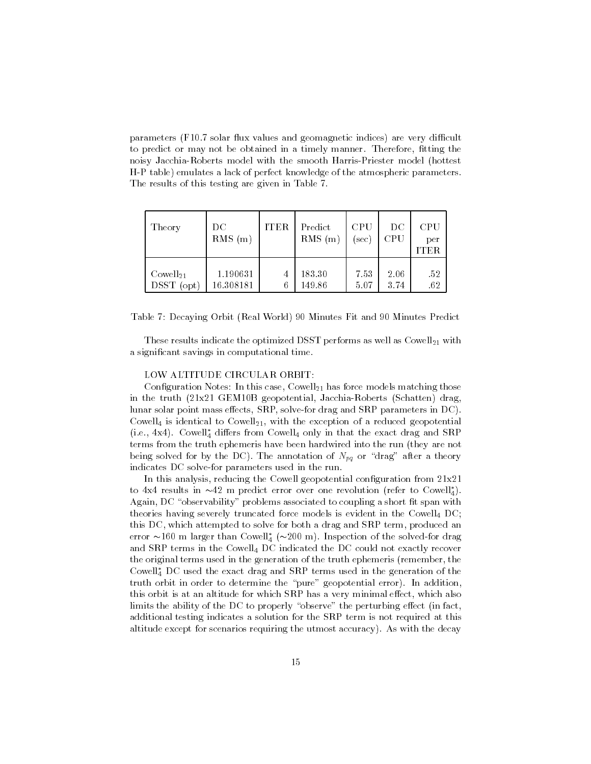parameters (F10.7 solar flux values and geomagnetic indices) are very difficult to predict or may not be obtained in a timely manner. Therefore, fitting the noisy Jacchia-Roberts model with the smooth Harris-Priester model (hottest H-P table) emulates a lack of perfect knowledge of the atmospheric parameters. The results of this testing are given in Table 7.

| Theory                                             | DC.<br>$RMS$ (m)      | <b>ITER</b> | Predict<br><b>RMS</b><br>(m) | CPU<br>sec   | $_{\rm DC}$<br>$\rm CPU$ | CPU<br>per<br><b>ITER</b> |
|----------------------------------------------------|-----------------------|-------------|------------------------------|--------------|--------------------------|---------------------------|
| Cowell <sub>21</sub><br><b>DSST</b><br>$($ opt $)$ | 1.190631<br>16.308181 | 4<br>6      | 183.30<br>149.86             | 7.53<br>5.07 | 2.06<br>3.74             | .52<br>.62                |

Table 7: Decaying Orbit (Real World) 90 Minutes Fit and 90 Minutes Predict

These results in the optimized DSST performance  $\mathbf{r}_1$  performance as well as well-completely performance a signicant savings in computational time

### LOW ALTITUDE CIRCULAR ORBIT

Conguration Notes In this case Cowell- has force models matching those in the truth x GEMB geopotential JacchiaRoberts Schatten drag lunar solar point mass e-ects SRP solvefor drag and SRP parameters in DC Cowell is identical to Cowell- with the exception of a reduced geopotential  $(1.e., 4x4)$ . Cowen<sub>4</sub> differs from Cowen<sub>4</sub> only in that the exact drag and  $SRF$ terms from the truth ephemeris have been hardwired into the run (they are not being solved for by the DC). The annotation of  $N_{pq}$  or "drag" after a theory indicates DC solve-for parameters used in the run.

In this analysis reducing the Cowell geopotential conguration from x to  $4x4$  results in  $\sim 42$  in predict error over one revolution (refer to Cowell<sub>4</sub>). Again, DC "observability" problems associated to coupling a short fit span with theories having severely truncated force models is evident in the Cowell<sub>4</sub> DC; this DC, which attempted to solve for both a drag and SRP term, produced an error  $\sim$ 100 m larger than Cowell<sub>4</sub> ( $\sim$ 200 m). Inspection of the solved-for drag and SRP terms in the Cowell<sub>4</sub> DC indicated the DC could not exactly recover the original terms used in the generation of the truth ephemeris (remember, the Cowell DC used the exact drag and SRP terms used in the generation of the truth orbit in order to determine the "pure" geopotential error). In addition, this orbit is at an altitude for which  $\mathcal{S}_\mathcal{A}$  has a very minimal e-minimal e-minimal e-minimal e-minimal e-minimal e-minimal e-minimal e-minimal e-minimal e-minimal e-minimal e-minimal e-minimal e-minimal e-minima limits the ability of the DC to properly observe the perturbing e-ect in fact additional testing indicates a solution for the SRP term is not required at this altitude except for scenarios requiring the utmost accuracy). As with the decay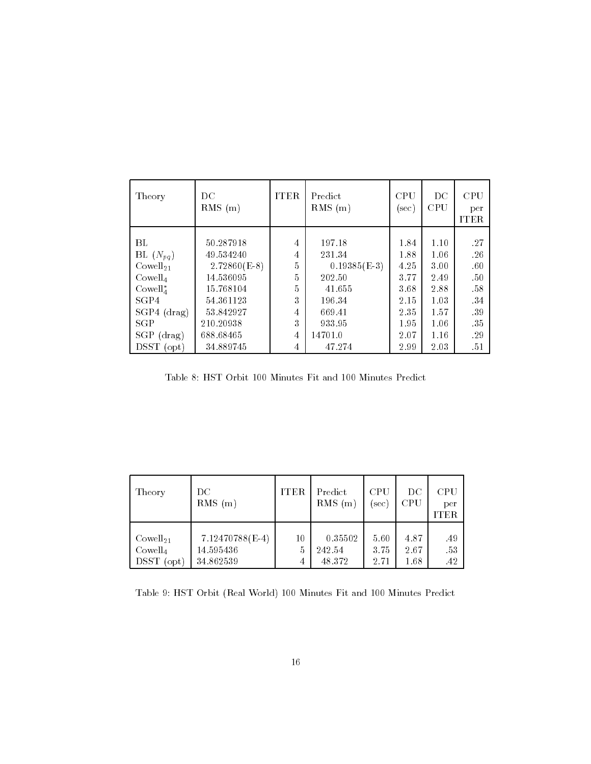| Theory              | DC<br>$RMS$ (m) | <b>ITER</b> | Predict<br>$RMS$ (m) | <b>CPU</b><br>(sec) | DC<br><b>CPU</b> | <b>CPU</b><br>per<br><b>ITER</b> |
|---------------------|-----------------|-------------|----------------------|---------------------|------------------|----------------------------------|
|                     |                 |             |                      |                     |                  |                                  |
| BL                  | 50.287918       | 4           | 197.18               | 1.84                | 1.10             | .27                              |
| BL $(N_{pq})$       | 49.534240       | 4           | 231.34               | 1.88                | 1.06             | .26                              |
| $Cowell_{21}$       | $2.72860(E-8)$  | 5           | $0.19385(E-3)$       | 4.25                | 3.00             | .60                              |
| Cowell <sub>4</sub> | 14.536095       | 5           | 202.50               | 3.77                | 2.49             | .50                              |
| $Cowell4*$          | 15.768104       | 5           | 41.655               | 3.68                | 2.88             | .58                              |
| SGP4                | 54.361123       | 3           | 196.34               | 2.15                | 1.03             | -34                              |
| $SGP4$ (drag)       | 53.842927       | 4           | 669.41               | 2.35                | 1.57             | -39                              |
| <b>SGP</b>          | 210.20938       | 3           | 933.95               | 1.95                | 1.06             | -35                              |
| $SGP$ (drag)        | 688.68465       | 4           | 14701.0              | 2.07                | 1.16             | .29                              |
| DSST (opt)          | 34.889745       | 4           | 47.274               | 2.99                | 2.03             | .51                              |

Table 8: HST Orbit 100 Minutes Fit and 100 Minutes Predict

| Theory               | DС<br>RMS<br>(m) | <b>ITER</b> | Predict<br>$RMS$ (m) | <b>CPU</b><br>sec) | $_{\rm DC}$<br>CPU | $\rm CPU$<br>per<br><b>ITER</b> |
|----------------------|------------------|-------------|----------------------|--------------------|--------------------|---------------------------------|
| Cowell <sub>21</sub> | 7.12470788(E-4)  | 10          | 0.35502              | 5.60               | 4.87               | .49                             |
| Cowell <sub>4</sub>  | 14.595436        | 5           | 242.54               | 3.75               | 2.67               | .53                             |
| DSST (opt)           | 34.862539        | 4           | 48.372               | 2.71               | 1.68               | .42                             |

Table 9: HST Orbit (Real World) 100 Minutes Fit and 100 Minutes Predict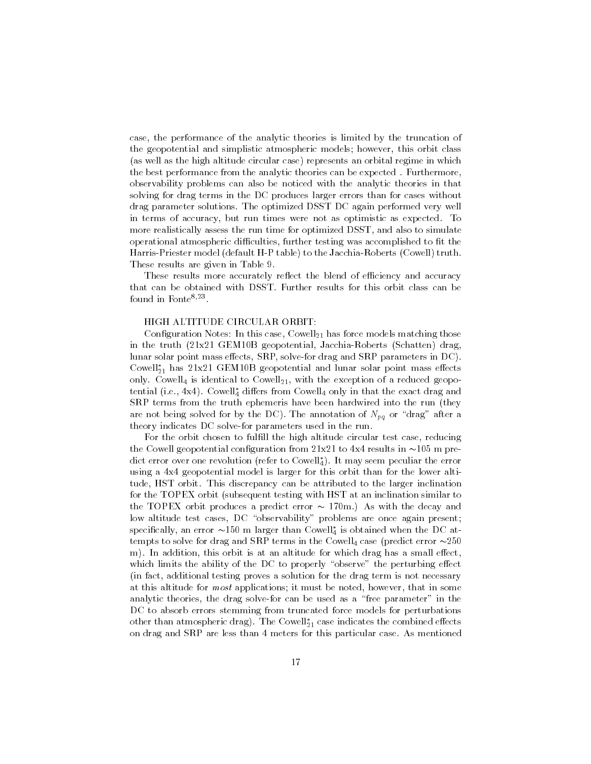case, the performance of the analytic theories is limited by the truncation of the geopotential and simplistic atmospheric models; however, this orbit class (as well as the high altitude circular case) represents an orbital regime in which the best performance from the analytic theories can be expected. Furthermore, observability problems can also be noticed with the analytic theories in that solving for drag terms in the DC produces larger errors than for cases without drag parameter solutions The optimized DSST DC again performed very well in terms of accuracy, but run times were not as optimistic as expected. To more realistically assess the run time for optimized DSST, and also to simulate operational atmospheric difficulties, further testing was accomplished to fit the Harris-Priester model (default H-P table) to the Jacchia-Roberts (Cowell) truth. These results are given in Table 9.

These results more accurately reflect the blend of efficiency and accuracy that can be obtained with DSST. Further results for this orbit class can be  $10$ und in Fonte $\cdots$  .

#### HIGH ALTITUDE CIRCULAR ORBIT

Conguration Notes In this case Cowell- has force models matching those in the truth geometry structure specific through the truth structure  $\mu$  are  $\mu$ lunar solar point mass e-ects SRP solvefor drag and SRP parameters in DC Cowen $_{21}$  nas 21x21 GEM TOB geopotential and funar solar point mass effects only Cowell is identical to Cowell- with the exception of a reduced geopo  $t_{\rm crit}$  (i.e., 4x4). Cowell $_4$  differs from Cowell $_4$  only in that the exact drag and SRP terms from the truth ephemeris have been hardwired into the run (they are not being solved for by the DC). The annotation of  $N_{pq}$  or "drag" after a theory indicates DC solve-for parameters used in the run.

For the orbit chosen to fulfill the high altitude circular test case, reducing the come geopotential configuration from course to income and the control of the predict error over one revolution (refer to Cowen $_4$ ). It may seem peculiar the error using a 4x4 geopotential model is larger for this orbit than for the lower altitude, HST orbit. This discrepancy can be attributed to the larger inclination for the TOPEX orbit (subsequent testing with HST at an inclination similar to the TOPEX orbit produces a predict error  $\sim 170$ m.) As with the decay and low altitude test cases, DC "observability" problems are once again present;  $\rm spc$ incally, an error  $\sim$ 150 m larger than Cowell $_4$  is obtained when the DC attempts to solve for drag and SRP terms in the Cowell case predict error  m In addition this orbit is at an altitude for which drag has a small e-ect which limits the ability of the DC to properly observe the perturbing e-dependence the perturbing ein fact additional testing proves a solution for the drag term is not necessary at this altitude for *most* applications; it must be noted, however, that in some analytic theories, the drag solve-for can be used as a "free parameter" in the DC to absorb errors stemming from truncated force models for perturbations other than atmospheric drag). The Cowell  $_{21}$  case indicates the combined effects on drag and SRP are less than meters for this particular case As mentioned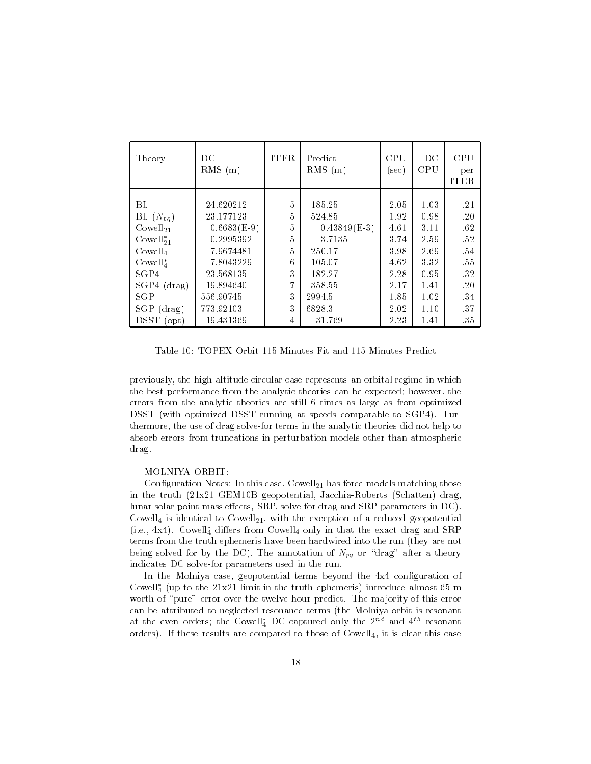| Theory              | DC<br>$RMS$ (m) | <b>ITER</b> | Predict<br>$RMS$ (m) | <b>CPU</b><br>(sec) | $_{\rm DC}$<br><b>CPU</b> | <b>CPU</b><br>per<br><b>ITER</b> |
|---------------------|-----------------|-------------|----------------------|---------------------|---------------------------|----------------------------------|
| ВL                  | 24.620212       | 5           | 185.25               | 2.05                | 1.03                      | .21                              |
| BL $(N_{pq})$       | 23.177123       | 5           | 524.85               | 1.92                | 0.98                      | .20                              |
| $Cowell_{21}$       | $0.6683(E-9)$   | 5           | $0.43849(E-3)$       | 4.61                | 3.11                      | .62                              |
| $Cowell21*$         | 0.2995392       | 5           | 3.7135               | 3.74                | 2.59                      | .52                              |
| Cowell <sub>4</sub> | 7.9674481       | 5           | 250.17               | 3.98                | 2.69                      | .54                              |
| $Cowell4*$          | 7.8043229       | 6           | 105.07               | 4.62                | 3.32                      | .55                              |
| SGP4                | 23.568135       | 3           | 182.27               | 2.28                | 0.95                      | -32                              |
| $SGP4$ (drag)       | 19.894640       | 7           | 358.55               | 2.17                | 1.41                      | .20                              |
| SGP                 | 556.90745       | 3           | 2994.5               | 1.85                | 1.02                      | -34                              |
| $SGP$ (drag)        | 773.92103       | 3           | 6828.3               | 2.02                | 1.10                      | 37                               |
| DSST (opt)          | 19.431369       | 4           | 31.769               | 2.23                | 1.41                      | -35                              |

Table 10: TOPEX Orbit 115 Minutes Fit and 115 Minutes Predict

previously the high altitude circular case represents an orbital regime in which the best performance from the analytic theories can be expected; however, the errors from the analytic theories are still 6 times as large as from optimized DSST (with optimized DSST running at speeds comparable to SGP4). Furthermore, the use of drag solve-for terms in the analytic theories did not help to absorb errors from truncations in perturbation models other than atmospheric drag

## MOLNIYA ORBIT

Conguration Notes In this case Cowell- has force models matching those in the truth geometry structure specific through the truth structure  $\mu$  are  $\mu$ lunar solar point mass e-ects SRP solvefor drag and SRP parameters in DC Cowell is identical to Cowell-Will-With the exception of a reduced geopotential  $(1.e., 4x4)$ . Cowen<sub>4</sub> differs from Cowen<sub>4</sub> only in that the exact drag and  $SRF$ terms from the truth ephemeris have been hardwired into the run (they are not being solved for by the DC). The annotation of  $N_{pq}$  or "drag" after a theory indicates DC solve-for parameters used in the run.

In the Molniya case, geopotential terms beyond the 4x4 configuration of Cowen<sub>4</sub> (up to the 21x21 mint in the truth ephemeris) introduce almost 65 m worth of "pure" error over the twelve hour predict. The majority of this error can be attributed to neglected resonance terms (the Molniya orbit is resonant at the even orders; the Cowell<sub>4</sub> DC captured only the  $2^{n+1}$  and  $4^{n+1}$  resonant orders). If these results are compared to those of  $Cowell<sub>4</sub>$ , it is clear this case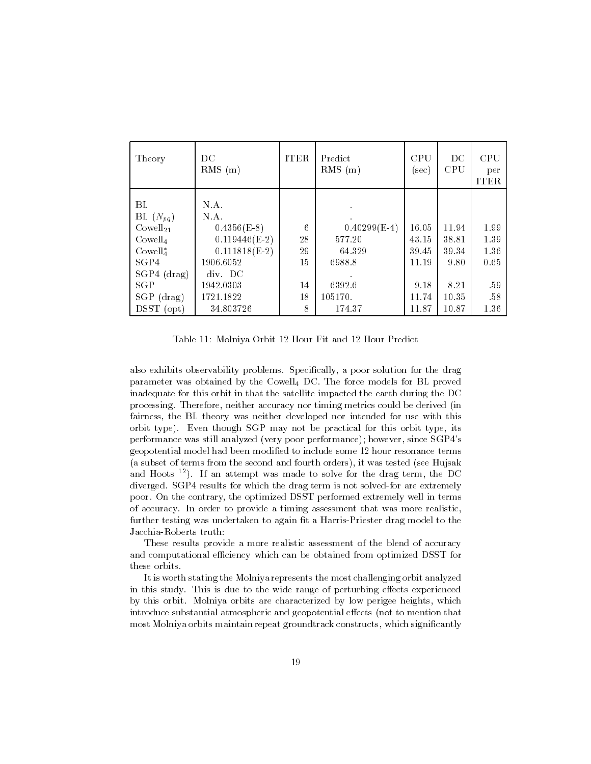| Theory                                                                                                           | DC<br>$RMS$ (m)                                                                                          | <b>ITER</b>               | Predict<br>$RMS$ (m)                                   | <b>CPU</b><br>(sec)                      | $_{\rm DC}$<br>CPU                      | <b>CPU</b><br>per<br><b>ITER</b>    |
|------------------------------------------------------------------------------------------------------------------|----------------------------------------------------------------------------------------------------------|---------------------------|--------------------------------------------------------|------------------------------------------|-----------------------------------------|-------------------------------------|
| ВL<br>BL $(N_{pq})$<br>Cowell <sub>21</sub><br>Cowell <sub>4</sub><br>$Cowell4*$<br>SGP4<br>$SGP4$ (drag)<br>SGP | N.A.<br>N.A.<br>$0.4356(E-8)$<br>$0.119446(E-2)$<br>$0.111818(E-2)$<br>1906.6052<br>div. DC<br>1942.0303 | 6<br>28<br>29<br>15<br>14 | $0.40299(E-4)$<br>577.20<br>64.329<br>6988.8<br>6392.6 | 16.05<br>43.15<br>39.45<br>11.19<br>9.18 | 11.94<br>38.81<br>39.34<br>9.80<br>8.21 | 1.99<br>1.39<br>1.36<br>0.65<br>-59 |
| $SGP$ (drag)<br>$_{\rm D SST}$<br>$($ opt $)$                                                                    | 1721.1822<br>34.803726                                                                                   | 18<br>8                   | 105170.<br>174.37                                      | 11.74<br>11.87                           | 10.35<br>10.87                          | .58<br>1.36                         |

 $\mathcal{M}$ 

also exhibits observability problems. Specifically, a poor solution for the drag parameter was obtained by the Cowell<sub>4</sub> DC. The force models for BL proved inadequate for this orbit in that the satellite impacted the earth during the DC processing Therefore neither accuracy nor timing metrics could be derived in fairness, the BL theory was neither developed nor intended for use with this orbit type). Even though SGP may not be practical for this orbit type, its performance was still analyzed (very poor performance); however, since SGP4's geopotential model had been modied to include some hour resonance terms (a subset of terms from the second and fourth orders), it was tested (see Hujsak and Hoots - If an attempt was made to solve for the drag term the DC diverged. SGP4 results for which the drag term is not solved-for are extremely poor On the contrary the optimized DSST performed extremely well in terms of accuracy In order to provide a timing assessment that was more realistic further testing was undertaken to again fit a Harris-Priester drag model to the Jacchia-Roberts truth:

These results provide a more realistic assessment of the blend of accuracy and computational efficiency which can be obtained from optimized DSST for these orbits

It is worth stating the Molniya represents the most challenging orbit analyzed in this study This is due to the wide range of perturbing e-ects experienced by this orbit. Molniya orbits are characterized by low perigee heights, which introduce substantial atmospheric and geopotential e-dependent and geopotential emost Molniya orbits maintain repeat groundtrack constructs, which significantly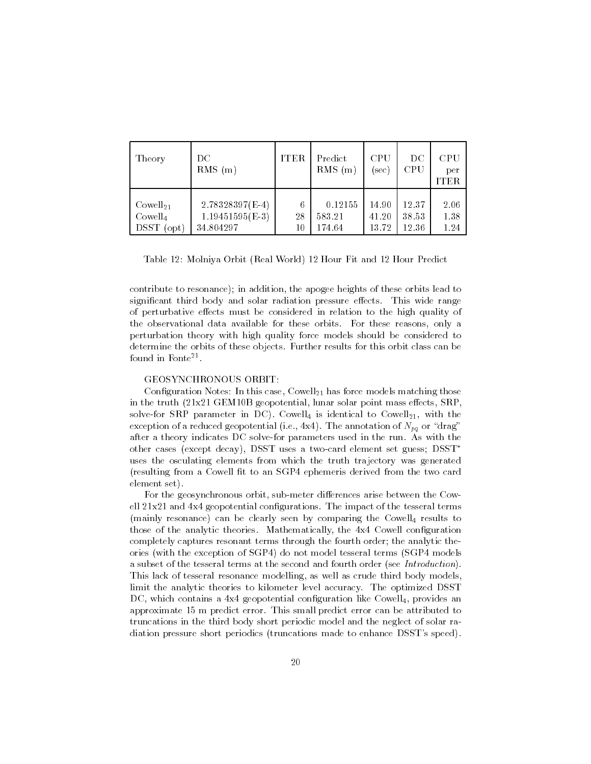| Theory                                                                    | DС<br>RMS<br>(m)                                    | <b>ITER</b>   | Predict<br><b>RMS</b><br>(m) | <b>CPU</b><br>[sec]     | DС<br><b>CPU</b>        | <b>CPU</b><br>per<br>ITER |
|---------------------------------------------------------------------------|-----------------------------------------------------|---------------|------------------------------|-------------------------|-------------------------|---------------------------|
| Cowell <sub>21</sub><br>Cowell <sub>4</sub><br><b>DSST</b><br>$($ opt $)$ | $2.78328397(E-4)$<br>$1.19451595(E-3)$<br>34.804297 | 6<br>28<br>10 | 0.12155<br>583.21<br>174.64  | 14.90<br>41.20<br>13.72 | 12.37<br>38.53<br>12.36 | 2.06<br>1.38<br>1.24      |

Table Molniya Orbit Real World Hour Fit and Hour Predict

contribute to resonance); in addition, the apogee heights of these orbits lead to signicant third body and solar radiation pressure e-ects This wide range of perturbative e-ects must be considered in relation to the high quality of the observational data available for these orbits. For these reasons, only a perturbation theory with high quality force models should be considered to determine the orbits of these objects. Further results for this orbit class can be found in Fonte-

#### GEOSYNCHRONOUS ORBIT:

Conguration Notes In this case Cowell- has force models matching those in the truth x GEMB geopotential lunar solar point mass e-ects SRP solvefor SRP parameter in DC Cowell is identical to Cowell is identical to Cowell is identical to Cowellexception of a reduced geopotential (i.e., 4x4). The annotation of  $N_{pq}$  or "drag" after a theory indicates DC solvefor parameters used in the run As with the other cases (except decay), DSST uses a two-card element set guess;  $D\text{SST}^*$ uses the osculating elements from which the truth trajectory was generated (resulting from a Cowell fit to an SGP4 ephemeris derived from the two card element set

For the geosynchronous orbit submeter di-erences arise between the Cow ell soms a new one grop creations theorgeneithed also the part terms the terms  $\sim$ (mainly resonance) can be clearly seen by comparing the Cowell<sub>4</sub> results to those of the analytic theories. Mathematically, the 4x4 Cowell configuration completely captures resonant terms through the fourth order; the analytic theories (with the exception of SGP4) do not model tesseral terms (SGP4 models a subset of the tesseral terms at the second and fourth order (see Introduction). This lack of tesseral resonance modelling, as well as crude third body models, limit the analytic theories to kilometer level accuracy The optimized DSST DC, which contains a  $4x4$  geopotential configuration like Cowell<sub>4</sub>, provides an approximate 15 m predict error. This small predict error can be attributed to truncations in the third body short periodic model and the neglect of solar ra diation pressure short periodics (truncations made to enhance DSST's speed).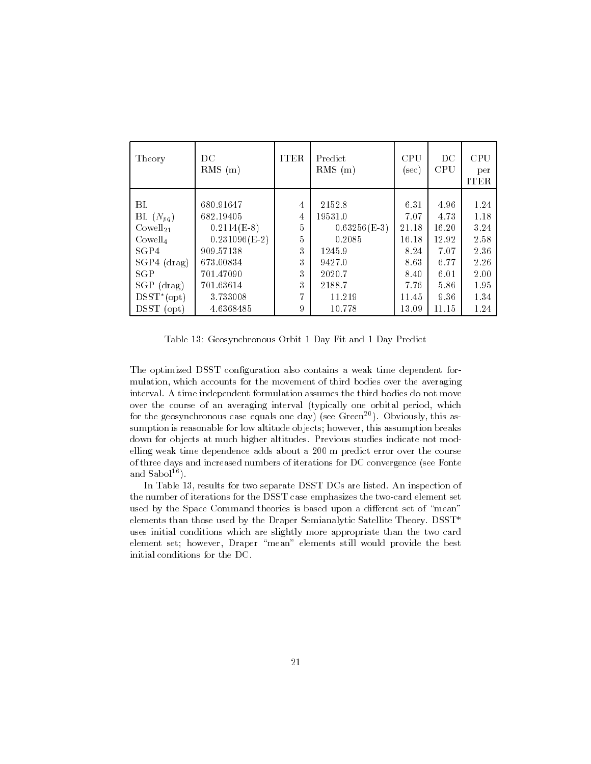| Theory               | DC<br>$RMS$ (m) | <b>ITER</b>    | Predict<br>$RMS$ (m) | CPU<br>$(\sec)$ | DC<br>CPU | <b>CPU</b><br>per<br><b>ITER</b> |
|----------------------|-----------------|----------------|----------------------|-----------------|-----------|----------------------------------|
|                      |                 |                |                      |                 |           |                                  |
| BL                   | 680.91647       | 4              | 2152.8               | 6.31            | 4.96      | 1.24                             |
| BL $(N_{pq})$        | 682.19405       | 4              | 19531.0              | 7.07            | 4.73      | 1.18                             |
| Cowell <sub>21</sub> | $0.2114(E-8)$   | 5              | $0.63256(E-3)$       | 21.18           | 16.20     | 3.24                             |
| Cowell <sub>4</sub>  | $0.231096(E-2)$ | $\overline{5}$ | 0.2085               | 16.18           | 12.92     | 2.58                             |
| SGP4                 | 909.57138       | 3              | 1245.9               | 8.24            | 7.07      | 2.36                             |
| $SGP4$ (drag)        | 673.00834       | 3              | 9427.0               | 8.63            | 6.77      | 2.26                             |
| <b>SGP</b>           | 701.47090       | 3              | 2020.7               | 8.40            | 6.01      | 2.00                             |
| $SGP$ (drag)         | 701.63614       | 3              | 2188.7               | 7.76            | 5.86      | 1.95                             |
| $D SST^*(opt)$       | 3.733008        | 7              | 11.219               | 11.45           | 9.36      | 1.34                             |
| <b>DSST</b><br>(opt) | 4.6368485       | 9              | 10.778               | 13.09           | 11.15     | 1.24                             |

Table 13: Geosynchronous Orbit 1 Day Fit and 1 Day Predict

The optimized DSST configuration also contains a weak time dependent formulation, which accounts for the movement of third bodies over the averaging interval. A time independent formulation assumes the third bodies do not move over the course of an averaging interval (typically one orbital period, which for the geosynchronous case equals one day) (see Green<sup>-9</sup>). Obviously, this assumption is reasonable for low altitude objects; however, this assumption breaks down for objects at much higher altitudes. Previous studies indicate not modelling weak time dependence adds about a m predict error over the course of three days and increased numbers of iterations for DC convergence (see Fonte and  $Sabol<sup>16</sup>$ .

In Table 13, results for two separate DSST DCs are listed. An inspection of the number of iterations for the DSST case emphasizes the two-card element set used by the Space Command theories is based upon a di-erent set of mean elements than those used by the Draper Semianalytic Satellite Theory. DSST\* uses initial conditions which are slightly more appropriate than the two card element set; however, Draper "mean" elements still would provide the best initial conditions for the DC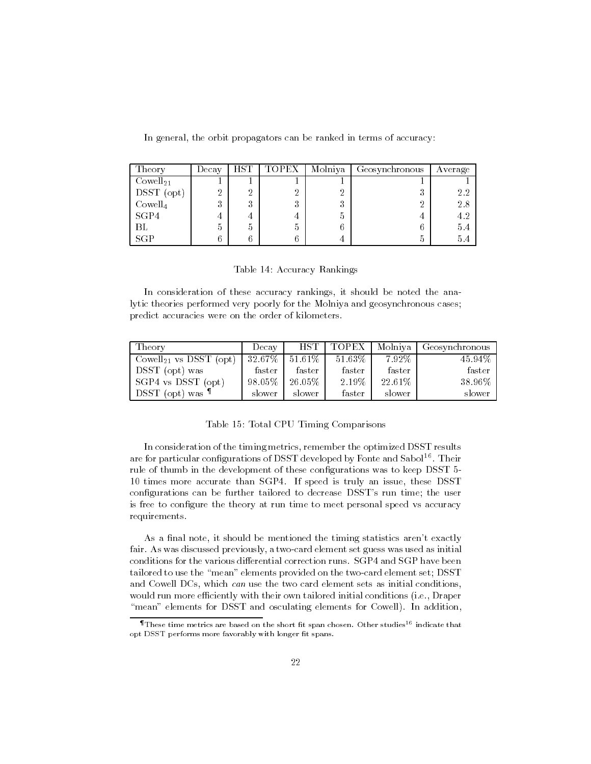In general, the orbit propagators can be ranked in terms of accuracy:

| Theory               | Decay | $_{\rm HST}$ | TOPEX   | Molniya      | Geosynchronous | Average |
|----------------------|-------|--------------|---------|--------------|----------------|---------|
| Cowell <sub>21</sub> |       |              |         |              |                |         |
| DSST (opt)           | ച     | റ<br>∠       | ച       |              | .,             | 2.2     |
| Cowell <sub>4</sub>  | .,    | ച<br>٠,      | ച<br>., | 9<br>$\cdot$ | റ              | 2.8     |
| SGP4                 |       |              |         | n            |                | 4.2     |
| ВL                   | h     | h            | h       |              | n              | 5.4     |
| SGP                  |       |              |         |              | G              | 5.4     |

In consideration of these accuracy rankings, it should be noted the analytic theories performed very poorly for the Molniya and geosynchronous cases predict accuracies were on the order of kilometers

| Theory                             | Decay     | HST I   | <b>TOPEX</b> | Molniva  | Geosynchronous |
|------------------------------------|-----------|---------|--------------|----------|----------------|
| Cowell <sub>21</sub> vs DSST (opt) | $32.67\%$ | 51.61\% | 51.63%       | $7.92\%$ | 45.94%         |
| DSST (opt) was                     | faster    | faster  | faster       | faster   | faster         |
| SGP4 vs DSST (opt)                 | 98.05%    | 26.05%  | 2.19%        | 22.61\%  | 38.96%         |
| DSST (opt) was <sup>¶</sup>        | slower    | slower  | faster       | slower   | slower         |

## Table 15: Total CPU Timing Comparisons

In consideration of the timing metrics, remember the optimized DSST results are for particular configurations of DSST developed by Fonte and Sabol<sup>16</sup>. Their rule of thumb in the development of these configurations was to keep DSST 5-10 times more accurate than SGP4. If speed is truly an issue, these DSST configurations can be further tailored to decrease DSST's run time; the user is free to configure the theory at run time to meet personal speed vs accuracy requirements

As a final note, it should be mentioned the timing statistics aren't exactly fair. As was discussed previously, a two-card element set guess was used as initial tailored to use the "mean" elements provided on the two-card element set; DSST and Cowell DCs, which can use the two card element sets as initial conditions, would run more efficiently with their own tailored initial conditions (i.e., Draper "mean" elements for DSST and osculating elements for Cowell). In addition,

These time metrics are based on the short fit span chosen. Other studies<sup>16</sup> indicate that opt DSST performs more favorably with longer fit spans.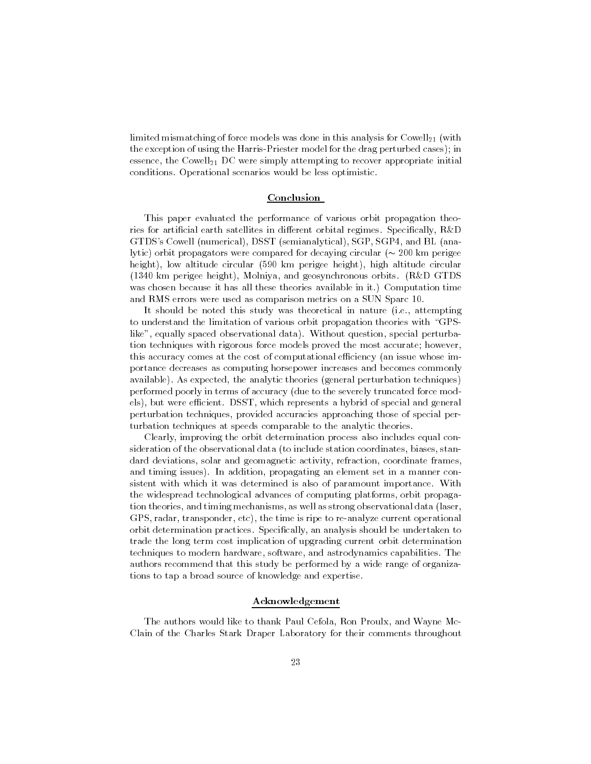limited mismatching of force models was done in this analysis for Cowell- with the exception of using the Harris-Priester model for the drag perturbed cases); in essence the Cowell-Cowell-Cowell-Cowell-Cowell-Cowell-tempting to recover applications appropriate in conditions. Operational scenarios would be less optimistic.

#### Conclusion

This paper evaluated the performance of various orbit propagation theo ries for articial earth satellites in di-erent orbital regimes Specically RD GTDS's Cowell (numerical), DSST (semianalytical), SGP, SGP4, and BL (analytic orbit propagators were compared for decaying circular km perigee height), low altitude circular (590 km perigee height), high altitude circular (1340 km perigee height), Molniya, and geosynchronous orbits. (R&D GTDS was chosen because it has all these theories available in it.) Computation time and RMS errors were used as comparison metrics on a SUN Sparc 10.

It should be noted this study was theoretical in nature (i.e., attempting to understand the limitation of various orbit propagation theories with "GPSlike", equally spaced observational data). Without question, special perturbation techniques with rigorous force models proved the most accurate; however, this accuracy comes at the cost of computational efficiency (an issue whose importance decreases as computing horsepower increases and becomes commonly available). As expected, the analytic theories (general perturbation techniques) performed poorly in terms of accuracy due to the severely truncated force mod els), but were efficient. DSST, which represents a hybrid of special and general perturbation techniques, provided accuracies approaching those of special perturbation techniques at speeds comparable to the analytic theories

Clearly improving the orbit determination process also includes equal con sideration of the observational data (to include station coordinates, biases, standard deviations, solar and geomagnetic activity, refraction, coordinate frames, and timing issues). In addition, propagating an element set in a manner consistent with which it was determined is also of paramount importance. With the widespread technological advances of computing platforms orbit propaga tion theories, and timing mechanisms, as well as strong observational data (laser, GPS, radar, transponder, etc), the time is ripe to re-analyze current operational orbit determination practices. Specifically, an analysis should be undertaken to trade the long term cost implication of upgrading current orbit determination techniques to modern hardware, software, and astrodynamics capabilities. The authors recommend that this study be performed by a wide range of organiza tions to tap a broad source of knowledge and expertise

## Acknowledgement

The authors would like to thank Paul Cefola, Ron Proulx, and Wayne Mc-Clain of the Charles Stark Draper Laboratory for their comments throughout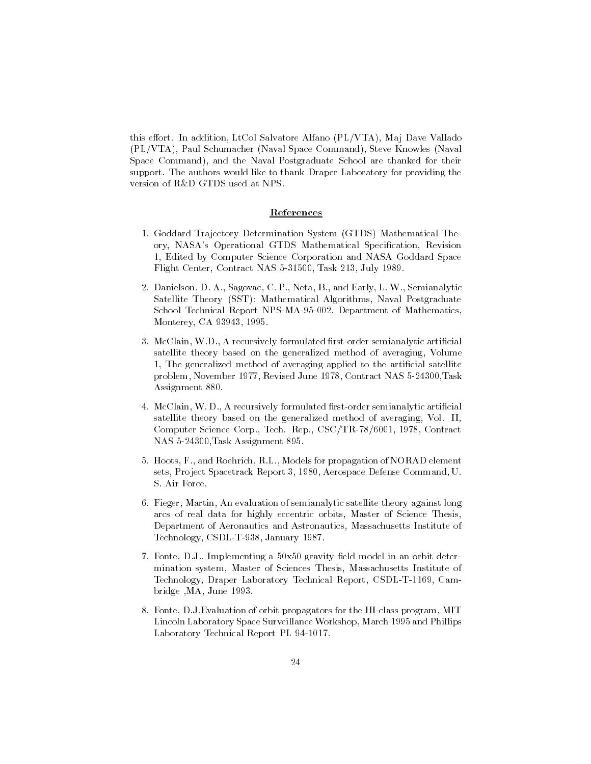this extern the contention, which content the collection alfano Plano Plano Plano Plano Plano Plano Plano Plan (PL/VTA), Paul Schumacher (Naval Space Command), Steve Knowles (Naval Space Command), and the Naval Postgraduate School are thanked for their support. The authors would like to thank Draper Laboratory for providing the version of R&D GTDS used at NPS.

### References

- 1. Goddard Trajectory Determination System (GTDS) Mathematical Theory, NASA's Operational GTDS Mathematical Specification, Revision Edited by Computer Science Corporation and NASA Goddard Space Flight Center Contract NAS  Task July
- Danielson D A Sagovac C P Neta B and Early L W Semianalytic Satellite Theory (SST): Mathematical Algorithms, Naval Postgraduate school Technical Report International Report Appendixer in Mathematical International Monterey, CA 93943, 1995.
- 3. McClain, W.D., A recursively formulated first-order semianalytic artificial satellite theory based on the generalized method of averaging, Volume 1. The generalized method of averaging applied to the artificial satellite problem in the contract in the contract which is a contract to the contract in the contract of the contract of Assignment 880.
- 4. McClain, W.D., A recursively formulated first-order semianalytic artificial satellite theory based on the generalized method of averaging, Vol. II, Computer Science Corp., Tech. Rep., CSC/TR-78/6001, 1978, Contract nas kalendarum kalendarum kalendarum kalendarum kalendarum kalendarum kalendarum kalendarum kalendarum kalendarum k
- 5. Hoots, F., and Roehrich, R.L., Models for propagation of NORAD element sets, Project Spacetrack Report 3, 1980, Aerospace Defense Command, U. S. Air Force.
- 6. Fieger, Martin, An evaluation of semianalytic satellite theory against long arcs of real data for highly eccentric orbits, Master of Science Thesis, Department of Aeronautics and Astronautics Massachusetts Institute of Technology, CSDL-T-938, January 1987.
- 7. Fonte, D.J., Implementing a  $50x50$  gravity field model in an orbit determination system, Master of Sciences Thesis, Massachusetts Institute of Technology, Draper Laboratory Technical Report, CSDL-T-1169, Cambridge , MA, June 1993.
- 8. Fonte, D.J.Evaluation of orbit propagators for the HI-class program, MIT Lincoln Laboratory Space Surveillance Workshop, March 1995 and Phillips Laboratory Technical Report PL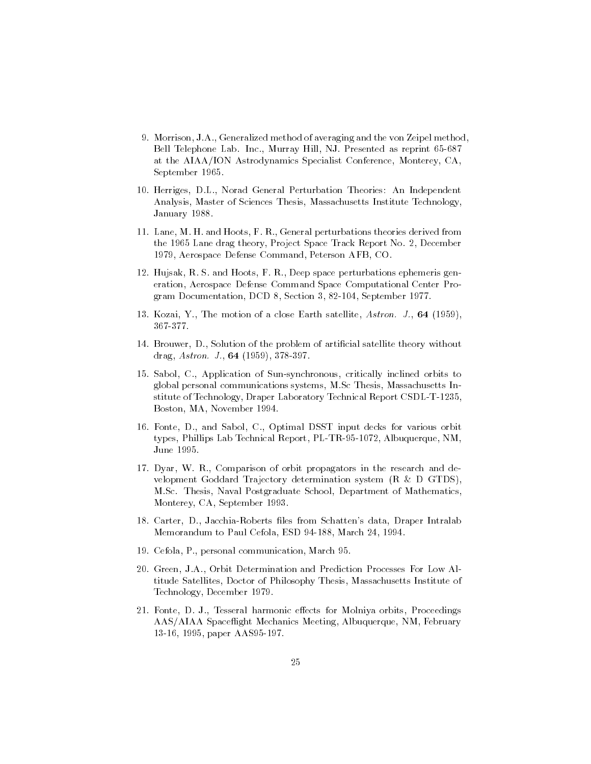- 9. Morrison, J.A., Generalized method of averaging and the von Zeipel method, Bell Telephone Lab. Inc., Murray Hill, NJ. Presented as reprint 65-687 at the AIAA/ION Astrodynamics Specialist Conference, Monterey, CA, September 1965.
- 10. Herriges, D.L., Norad General Perturbation Theories: An Independent Analysis, Master of Sciences Thesis, Massachusetts Institute Technology, January 1988.
- 11. Lane, M. H. and Hoots, F. R., General perturbations theories derived from the 
 Lane drag theory Project Space Track Report No December 1979, Aerospace Defense Command, Peterson AFB, CO.
- Hujsak R S and Hoots F R Deep space perturbations ephemeris gen eration, Aerospace Defense Command Space Computational Center Pro- $\mathcal{L}$  define  $\mathcal{L}$  berefore Documentation DCD  $\mathcal{L}$  berefore Documentation DCD  $\mathcal{L}$
- Kozai Y The motion of a close Earth satellite Astronometers and the contract and  $\mathcal{A}$ 367-377.
- 14. Brouwer, D., Solution of the problem of artificial satellite theory without drag astron J. Lesser J. Lesser J. Lesser
- 15. Sabol, C., Application of Sun-synchronous, critically inclined orbits to global personal communications systems, M.Sc Thesis, Massachusetts Institute of Technology Draper Laboratory Technical Report CSDLT  Boston, MA, November 1994.
- 16. Fonte, D., and Sabol, C., Optimal DSST input decks for various orbit types particles and the community of the state of the state of the state  $\eta$  and  $\eta$  and  $\eta$ June 1995.
- 17. Dyar, W. R., Comparison of orbit propagators in the research and development Goddard Trajectory determination system  $(R \& D G TDS)$ . M.Sc. Thesis, Naval Postgraduate School, Department of Mathematics, Monterey, CA, September 1993.
- 18. Carter, D., Jacchia-Roberts files from Schatten's data, Draper Intralab Memorandum to Paul Cefola Esperantist in the Paul Cefola Esperantist in the Paul Cefola Esperantist in the Paul
- 19. Cefola, P., personal communication, March 95.
- Green JA Orbit Determination and Prediction Processes For Low Al titude Satellites, Doctor of Philosophy Thesis, Massachusetts Institute of Technology, December 1979.
- Fonte D J Tesseral harmonic e-ects for Molniya orbits Proceedings AAS/AIAA Spaceflight Mechanics Meeting, Albuquerque, NM, February 13-16, 1995, paper AAS95-197.